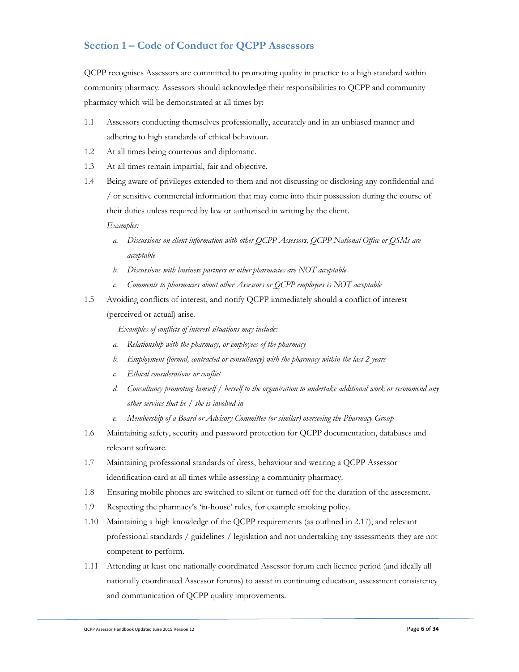## **Section 1 – Code of Conduct for QCPP Assessors**

QCPP recognises Assessors are committed to promoting quality in practice to a high standard within community pharmacy. Assessors should acknowledge their responsibilities to QCPP and community pharmacy which will be demonstrated at all times by:

- 1.1 Assessors conducting themselves professionally, accurately and in an unbiased manner and adhering to high standards of ethical behaviour.
- 1.2 At all times being courteous and diplomatic.
- 1.3 At all times remain impartial, fair and objective.
- 1.4 Being aware of privileges extended to them and not discussing or disclosing any confidential and / or sensitive commercial information that may come into their possession during the course of their duties unless required by law or authorised in writing by the client. *Examples:* 
	- *a. Discussions on client information with other QCPP Assessors, QCPP National Office or QSMs are acceptable*
	- *b. Discussions with business partners or other pharmacies are NOT acceptable*
	- *c. Comments to pharmacies about other Assessors or QCPP employees is NOT acceptable*
- 1.5 Avoiding conflicts of interest, and notify QCPP immediately should a conflict of interest (perceived or actual) arise.

*Examples of conflicts of interest situations may include:* 

- *a. Relationship with the pharmacy, or employees of the pharmacy*
- *b. Employment (formal, contracted or consultancy) with the pharmacy within the last 2 years*
- *c. Ethical considerations or conflict*
- *d. Consultancy promoting himself / herself to the organisation to undertake additional work or recommend any other services that he / she is involved in*
- *e. Membership of a Board or Advisory Committee (or similar) overseeing the Pharmacy Group*
- 1.6 Maintaining safety, security and password protection for QCPP documentation, databases and relevant software.
- 1.7 Maintaining professional standards of dress, behaviour and wearing a QCPP Assessor identification card at all times while assessing a community pharmacy.
- 1.8 Ensuring mobile phones are switched to silent or turned off for the duration of the assessment.
- 1.9 Respecting the pharmacy's 'in-house' rules, for example smoking policy.
- 1.10 Maintaining a high knowledge of the QCPP requirements (as outlined in 2.17), and relevant professional standards / guidelines / legislation and not undertaking any assessments they are not competent to perform.
- 1.11 Attending at least one nationally coordinated Assessor forum each licence period (and ideally all nationally coordinated Assessor forums) to assist in continuing education, assessment consistency and communication of QCPP quality improvements.